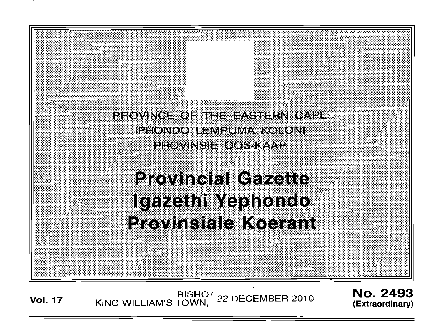

# **Provincial Gazette** Igazethi Yephondo **Provinsiale Koerant**

Vol. 17 KING WILLIAM'S TOWN, 22 DECEMBER 2010 **No. 2493** 

" .'

" : :

: .

**(Extraordinary)**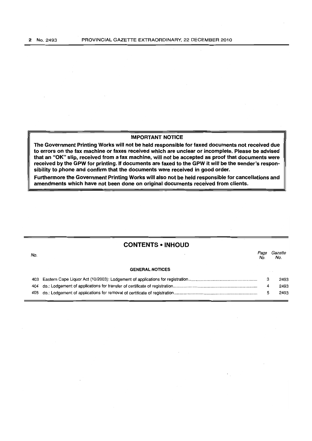## IMPORTANT NOTICE

The Government Printing Works will not be held responsible for faxed documents not received due to errors on the fax machine or faxes received which are unclear or incomplete. Please be advised that an "OK" slip, received from a fax machine, will not be accepted as proof that documents were received by the GPW for printing. If documents are faxed to the GPW it will be the sender's responsibility to phone and confirm that the documents were received in good order.

Furthermore the Government Printing Works will also not be held responsible for cancellations and amendments which have not been done on original documents received from clients.

# **CONTENTS • INHOUD**

No. GENERAL NOTICES 403 Eastern Cape Liquor Act (10/2003): Lodgement of applications for registration .......................................................... . 404 do.: Lodgement of applications for transfer of certificate of registration ....................................................................... . Page Gazette No. No. 3 4 2493 2493

5

2493

405 do.: Lodgement of applications for removal of certificate of registration ...................................................................... .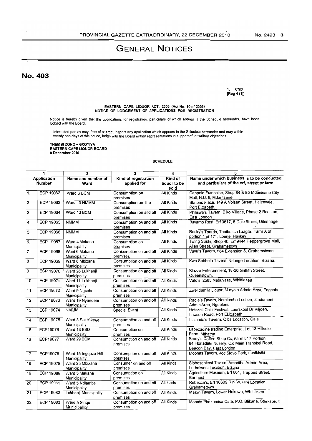# **GENERAL NOTICES**

No. 403

1. CM3 [Reg 4 (1)]

# EASTERN CAPE LIQUOR ACT. 2003 (Act No. 10 of 2003) NOTICE OF LODGEMENT OF APPLICAnONS FOR REGISTRAnON

Notice is hereby given that the applications for registration, particulars of which appear in the Schedule hereunder, have been lodged with the Board.

Interested parties may, free of charge, inspect any application which appears in the Schedule hereunder and may within<br>twenty one days of this notice, lodge with the Board written representations in support of, or written

THEMBI ZONO - GXOYIYA EASTERN CAPE LIQUOR BOARD 8 December 2010

#### SCHEDULE

| 1                  |                  | $\overline{2}$        | $\overline{\mathbf{3}}$ | 4                | 5                                                 |  |
|--------------------|------------------|-----------------------|-------------------------|------------------|---------------------------------------------------|--|
| <b>Application</b> |                  | Name and number of    | Kind of registration    | Kind of          | Name under which business is to be conducted      |  |
| <b>Number</b>      |                  | Ward                  | applied for             | liquor to be     | and particulars of the erf, street or farm        |  |
|                    |                  |                       |                         | sold             |                                                   |  |
| 1 <sub>1</sub>     | <b>ECP 19062</b> | Ward 6 BCM            | Consumption on          | All Kinds        | Cappelo Franchise, Shop 84 & 85 Mdantsane City    |  |
|                    |                  |                       | premises                |                  | Mall, N.U. 6, Mdantsane                           |  |
| $\overline{2}$ .   | ECP 19063        | Ward 10 NMMM          | Consumption on the      | All Kinds        | Statons Place, 149 A Voisen Street, Helenvale,    |  |
|                    |                  |                       | premises                |                  | Port Elizabeth,                                   |  |
| 3.                 | <b>ECP 19064</b> | Ward 13 BCM           | Consumption on and off  | <b>All Kinds</b> | Philiswa's Tavern, Biko Village, Phase 2 Reeston, |  |
|                    |                  |                       | premises                |                  | East London                                       |  |
| 4.                 | <b>ECP 19065</b> | <b>NMMM</b>           | Consumption on and off  | <b>All Kinds</b> | Bayamo Rest, Erf 3617, 6 Dale Street, Uitenhage   |  |
|                    |                  |                       | premises                |                  |                                                   |  |
| $\overline{5}$ .   | <b>ECP 19066</b> | <b>NMMM</b>           | Consumption on and off  | <b>All Kinds</b> | Rocky's Toards, Taaibosch Laagte, Farm A of       |  |
|                    |                  |                       | premises                |                  | portion 1 of 171, Loerie, Hankey                  |  |
| 6.                 | ECP 19067        | Ward 4 Makana         | Consumption on          | All Kinds        | Twing Sushi, Shop 40, Erf 9444 Peppergrove Mall,  |  |
|                    |                  | Municipality          | premises                |                  | Allan Street, Grahamstown                         |  |
| $\overline{7}$     | <b>ECP 19068</b> | Ward 6 Makana         | Consumption on and off  | All Kinds        | Vuvu's Tavern, 564 Extension 6, Grahamstwon.      |  |
|                    |                  | Municipality          | premises                |                  |                                                   |  |
| 8                  | <b>ECP 19069</b> | Ward 6 Mbizana        | Consumption on and off  | <b>All Kinds</b> | Kwa Sobhola Tavern, Ndunge Location, Bizana.      |  |
|                    |                  | Municipality          | premises                |                  |                                                   |  |
| 9                  | ECP 19070        | Ward 26 Lukhanji      | Consumption on and off  | All Kinds        | Blazza Enterainment, 18-20 Griffith Street,       |  |
|                    |                  | Municipality          | premises                |                  | Queenstown.                                       |  |
| $\overline{10}$    | <b>ECP 19071</b> | Ward 11 Lukhanji      | Consumption on and off  | All Kinds        | Vato's, 2585 Mabuyaze, Whittlesea                 |  |
|                    |                  | Municipality          | premises                |                  |                                                   |  |
| 11                 | <b>ECP 19072</b> | Ward 9 Ngcobo         | Consumption on and off  | <b>All Kinds</b> | Zwelidumile Liquor, M nyolo Admin Area, Engcobo.  |  |
|                    |                  | Municipality          | premises                |                  |                                                   |  |
| 12                 | ECP 19073        | Ward 19 Nyandeni      | Consumption on and off  | <b>All Kinds</b> | Radie's Tavern, Nomlambo Loction, Zindumeni       |  |
|                    |                  | Municipality          | premises                |                  | Admin Area, Ngqeleni.                             |  |
| 13                 | <b>ECP 19074</b> | <b>NMMM</b>           | <b>Special Event</b>    | All Kinds        | Hotazell Chilli Festival, Laerskool Dr Viljoen,   |  |
|                    |                  |                       |                         |                  | Lawson Road, Port ELizabeth                       |  |
| 14                 | <b>ECP 19075</b> | Ward 3 Sakhisizwe     | Consumption on and off  | <b>All Kinds</b> | Lusanda's Tavern, Qiba Location, Cala             |  |
|                    |                  | Municipality          | premises                |                  |                                                   |  |
| 15                 | ECP19076         | Ward 13 KSD           | Consumption on          | All Kinds        | Labecadine trading Enterprise, Lot 13 Hillsdie    |  |
|                    |                  | Municipality          | premises                |                  | Farm, Mthatha                                     |  |
| 16                 | ECP19077         | Ward 29 BCM           | Consumption on and off  | All Kinds        | Brady's Coffee Shop Cc, Farm 817 Portion          |  |
|                    |                  |                       | premises                |                  | 84, Floriadale Nusery, Old Main Transkei Road,    |  |
|                    |                  |                       |                         |                  | Beacon Bay, East London                           |  |
| 17                 | <b>ECP19078</b>  | Ward 15 Ingquza Hill  | Consumption on and off  | All Kinds        | Moonas Tavern, Joe Slovo Park, Lusikisiki         |  |
|                    |                  | Municipality          | premises                |                  |                                                   |  |
| 18                 | <b>ECP 19079</b> | Ward 23 Mbizana       | Consumer on and off     | All Kinds        | Siphosenkosi Tavern, Amadiba Admin Area,          |  |
|                    |                  | Municipality          | premises                |                  | Lurholweni Location, Bizana                       |  |
| 19                 | <b>ECP 19080</b> | Ward 5 Makana         | Consumption on          | All Kinds        | Agriculture Museum, Erf 661, Trappes Street,      |  |
|                    |                  | Municipality          | premises                |                  | Barthust                                          |  |
| 20                 | <b>ECP 19081</b> | Ward 5 Ndlambe        | Consumption on and off  | All kinds        | Rebecca's, Erf 10609 Rini Vukani Location,        |  |
|                    |                  | Municipality          | premises                |                  | Grahamstown                                       |  |
| 21                 | <b>ECP 19082</b> | Lukhanji Municipality | Consumption on and off  | <b>All Kinds</b> | Mazwi Tavern, Lower Hukuwa, Whittlesea            |  |
|                    |                  |                       | premises                |                  |                                                   |  |
| 22                 | ECP 19083        | Ward 5 Sinqu          | Consumption on and off  | All Kinds        | Monate Phakamisa Café, P.O. Blikana, Sterkspruit  |  |
|                    |                  | Municipallity         | premises                |                  |                                                   |  |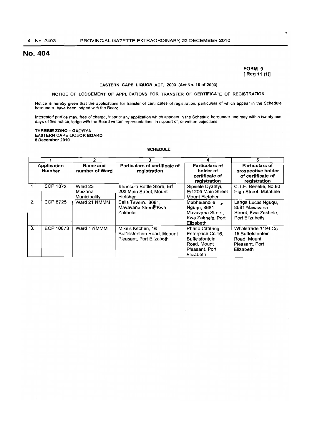# No. 404

### **FORM** 9 [Reg11 (1))

#### EASTERN CAPE LIQUOR ACT, 2003 (Act No. 10 of 2003)

# NOTICE OF LODGEMENT OF APPLICATIONS FOR TRANSFER OF CERTIFICATE OF REGISTRATION

Notice is hereby given that the applications for transfer of certificates of registration. particulars of which appear in the Schedule hereunder, have been lodged with the Board.

Interested parties may, free of charge, inspect any application which appears in the Schedule hereunder and may within twenty one days of this notice, lodge with the Board written representations in support of, or written objections.

THEMBIE ZONO - GXOYIYA EASTERN CAPE LIQUOR BOARD 8 December 2010

#### **SCHEDULE**

|                              |                 | 2                                  | 3                                                                             | 4                                                                                                                  | 5                                                                                      |
|------------------------------|-----------------|------------------------------------|-------------------------------------------------------------------------------|--------------------------------------------------------------------------------------------------------------------|----------------------------------------------------------------------------------------|
| Application<br><b>Number</b> |                 | Name and<br>number of Ward         | Particulars of certificate of<br>registration                                 | <b>Particulars of</b><br>holder of<br>certificate of<br>registration                                               | <b>Particulars of</b><br>prospective holder<br>of certificate of<br>registration       |
|                              | <b>ECP 1872</b> | Ward 23<br>Mbizana<br>Municipality | Bhansela Bottle Store, Erf<br>205 Main Street, Mount<br>Fletcher              | Sipelele Dyantyi,<br>Erf 205 Main Street<br><b>Mount Fletcher</b>                                                  | C.T.F. Beneke, No.80<br><b>High Street, Matatiele</b>                                  |
| 2.                           | <b>ECP 8725</b> | Ward 21 NMMM                       | Bells Tavern, 8681.<br>Mavavana Street, Kwa<br>Zakhele                        | Mabhelandile<br><b>Ngugu, 8681</b><br>Mavavana Street.<br>Kwa Zakhele, Port<br>Elizabeth                           | Langa Lucas Nguqu,<br>8681 Mavavana<br>Street, Kwa Zakhele,<br>Port Elizabeth          |
| 3.                           | ECP 10873       | Ward 1 NMMM                        | Mike's Kitchen, 16<br>Buffelsfontein Road, Moount<br>Pleasant, Port Elizabeth | <b>Phaito Catering</b><br>Enterprise Cc 16.<br><b>Buffelsfontein</b><br>Road, Mount<br>Pleasant, Port<br>Elizabeth | Wholetrade 1194 Cc.<br>16 Buffelsfontein<br>Road, Mount<br>Pleasant, Port<br>Elizabeth |